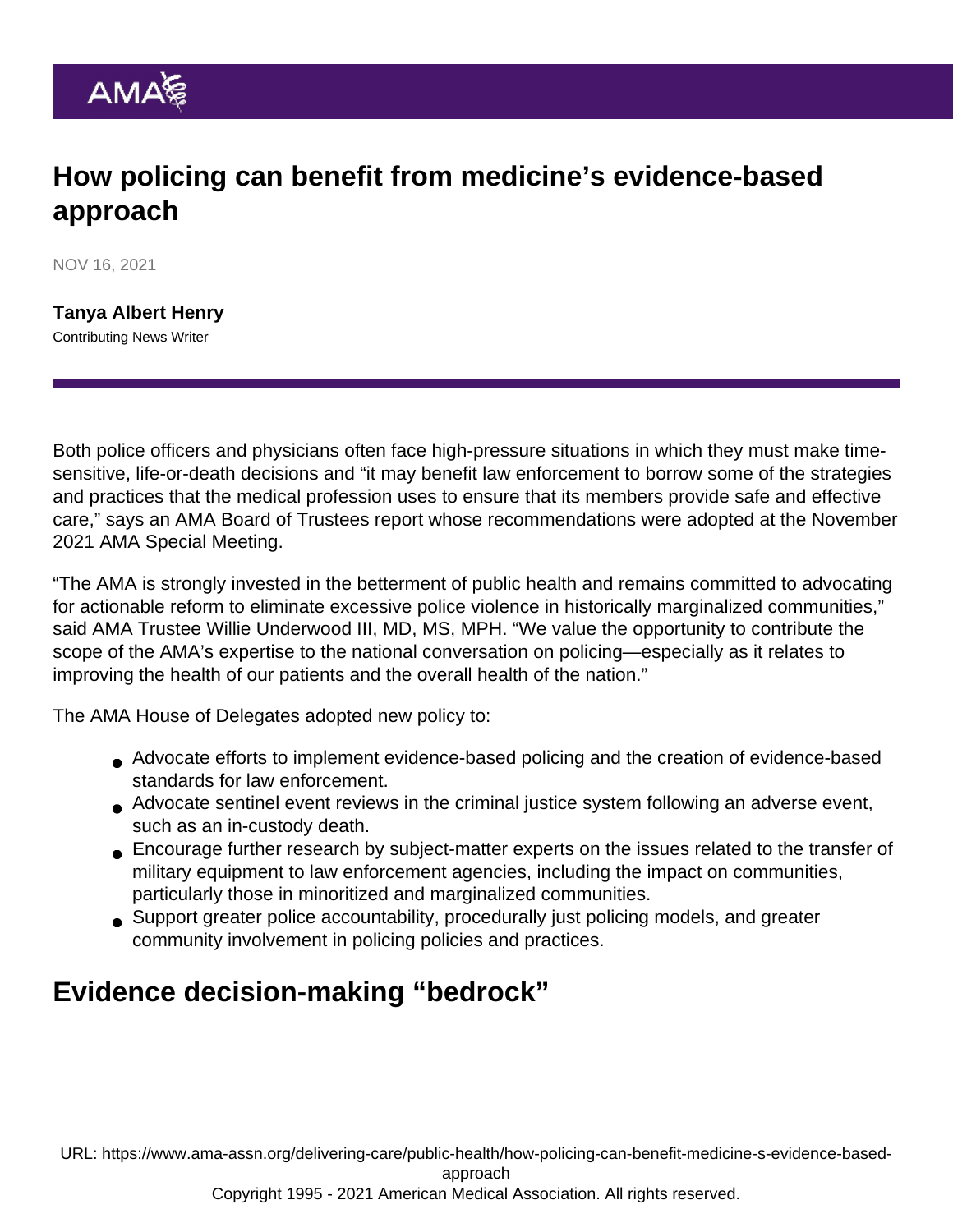## How policing can benefit from medicine's evidence-based approach

NOV 16, 2021

[Tanya Albert Henry](https://www.ama-assn.org/news-leadership-viewpoints/authors-news-leadership-viewpoints/tanya-albert-henry) Contributing News Writer

Both police officers and physicians often face high-pressure situations in which they must make timesensitive, life-or-death decisions and "it may benefit law enforcement to borrow some of the strategies and practices that the medical profession uses to ensure that its members provide safe and effective care," says an [AMA Board of Trustees](https://www.ama-assn.org/about/board-trustees/board-trustees-members) report whose recommendations were adopted at the [November](https://www.ama-assn.org/house-delegates/special-meeting) [2021 AMA Special Meeting.](https://www.ama-assn.org/house-delegates/special-meeting)

"The AMA is strongly invested in the betterment of public health and remains committed to advocating for actionable reform to eliminate excessive police violence in historically marginalized communities," said AMA Trustee [Willie Underwood III, MD, MS, MPH.](https://www.ama-assn.org/about/board-trustees/willie-underwood-iii-md-msc-mph) "We value the opportunity to contribute the scope of the AMA's expertise to the national conversation on policing—especially as it relates to improving the health of our patients and the overall health of the nation."

The AMA House of Delegates adopted new policy to:

- Advocate efforts to implement evidence-based policing and the creation of evidence-based standards for law enforcement.
- Advocate sentinel event reviews in the criminal justice system following an adverse event, such as an in-custody death.
- Encourage further research by subject-matter experts on the issues related to the transfer of military equipment to law enforcement agencies, including the impact on communities, particularly those in minoritized and marginalized communities.
- Support greater police accountability, procedurally just policing models, and greater community involvement in policing policies and practices.

## Evidence decision-making "bedrock"

URL: [https://www.ama-assn.org/delivering-care/public-health/how-policing-can-benefit-medicine-s-evidence-based-](https://www.ama-assn.org/delivering-care/public-health/how-policing-can-benefit-medicine-s-evidence-based-approach)

[approach](https://www.ama-assn.org/delivering-care/public-health/how-policing-can-benefit-medicine-s-evidence-based-approach)